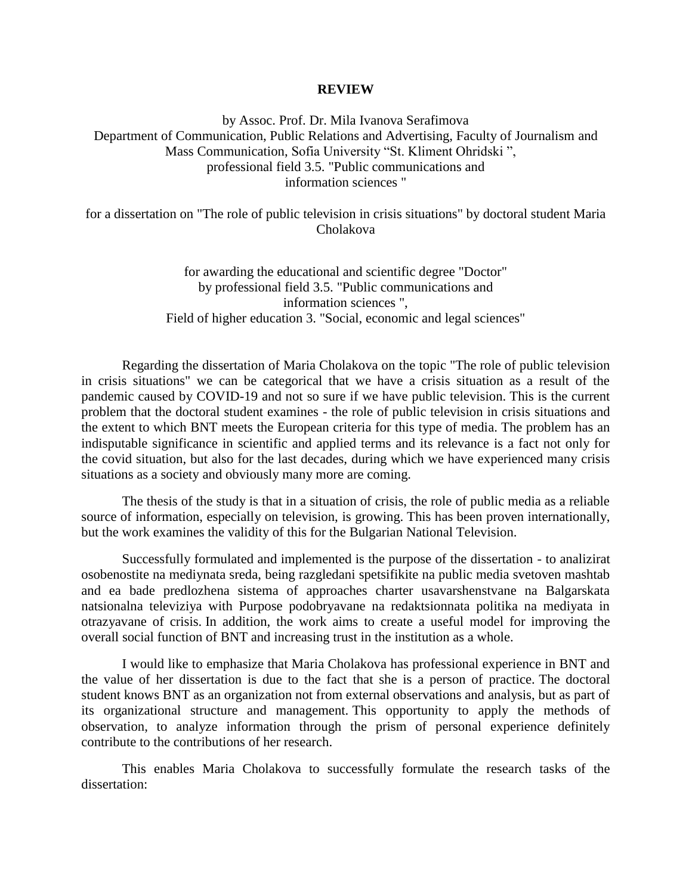## **REVIEW**

by Assoc. Prof. Dr. Mila Ivanova Serafimova Department of Communication, Public Relations and Advertising, Faculty of Journalism and Mass Communication, Sofia University "St. Kliment Ohridski ", professional field 3.5. "Public communications and information sciences "

for a dissertation on "The role of public television in crisis situations" by doctoral student Maria Cholakova

> for awarding the educational and scientific degree "Doctor" by professional field 3.5. "Public communications and information sciences ", Field of higher education 3. "Social, economic and legal sciences"

Regarding the dissertation of Maria Cholakova on the topic "The role of public television in crisis situations" we can be categorical that we have a crisis situation as a result of the pandemic caused by COVID-19 and not so sure if we have public television. This is the current problem that the doctoral student examines - the role of public television in crisis situations and the extent to which BNT meets the European criteria for this type of media. The problem has an indisputable significance in scientific and applied terms and its relevance is a fact not only for the covid situation, but also for the last decades, during which we have experienced many crisis situations as a society and obviously many more are coming.

The thesis of the study is that in a situation of crisis, the role of public media as a reliable source of information, especially on television, is growing. This has been proven internationally, but the work examines the validity of this for the Bulgarian National Television.

Successfully formulated and implemented is the purpose of the dissertation - to analizirat osobenostite na mediynata sreda, being razgledani spetsifikite na public media svetoven mashtab and ea bade predlozhena sistema of approaches charter usavarshenstvane na Balgarskata natsionalna televiziya with Purpose podobryavane na redaktsionnata politika na mediyata in otrazyavane of crisis. In addition, the work aims to create a useful model for improving the overall social function of BNT and increasing trust in the institution as a whole.

I would like to emphasize that Maria Cholakova has professional experience in BNT and the value of her dissertation is due to the fact that she is a person of practice. The doctoral student knows BNT as an organization not from external observations and analysis, but as part of its organizational structure and management. This opportunity to apply the methods of observation, to analyze information through the prism of personal experience definitely contribute to the contributions of her research.

This enables Maria Cholakova to successfully formulate the research tasks of the dissertation: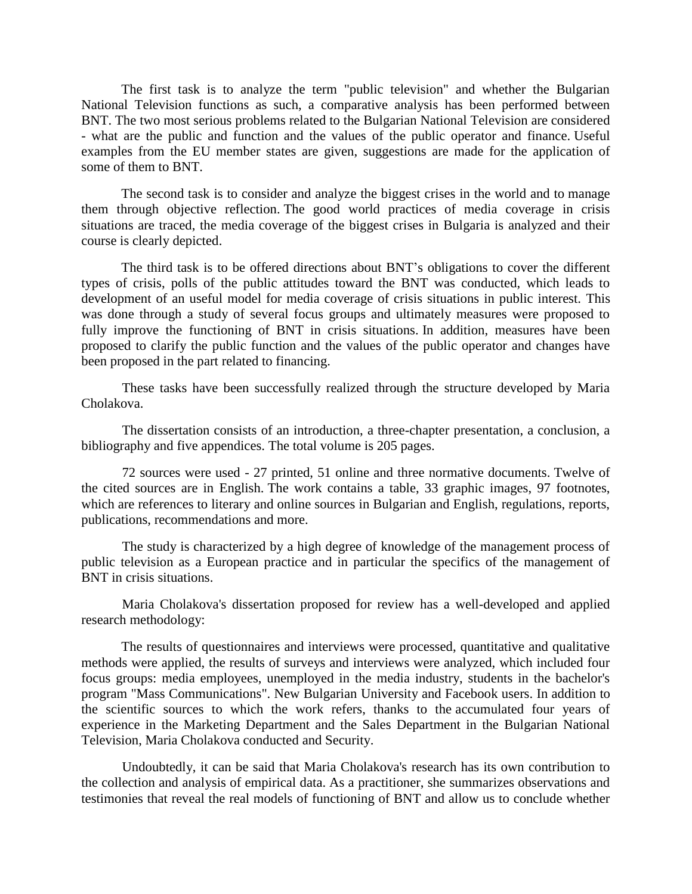The first task is to analyze the term "public television" and whether the Bulgarian National Television functions as such, a comparative analysis has been performed between BNT. The two most serious problems related to the Bulgarian National Television are considered - what are the public and function and the values of the public operator and finance. Useful examples from the EU member states are given, suggestions are made for the application of some of them to BNT.

The second task is to consider and analyze the biggest crises in the world and to manage them through objective reflection. The good world practices of media coverage in crisis situations are traced, the media coverage of the biggest crises in Bulgaria is analyzed and their course is clearly depicted.

The third task is to be offered directions about BNT's obligations to cover the different types of crisis, polls of the public attitudes toward the BNT was conducted, which leads to development of an useful model for media coverage of crisis situations in public interest. This was done through a study of several focus groups and ultimately measures were proposed to fully improve the functioning of BNT in crisis situations. In addition, measures have been proposed to clarify the public function and the values of the public operator and changes have been proposed in the part related to financing.

These tasks have been successfully realized through the structure developed by Maria Cholakova.

The dissertation consists of an introduction, a three-chapter presentation, a conclusion, a bibliography and five appendices. The total volume is 205 pages.

72 sources were used - 27 printed, 51 online and three normative documents. Twelve of the cited sources are in English. The work contains a table, 33 graphic images, 97 footnotes, which are references to literary and online sources in Bulgarian and English, regulations, reports, publications, recommendations and more.

The study is characterized by a high degree of knowledge of the management process of public television as a European practice and in particular the specifics of the management of BNT in crisis situations.

Maria Cholakova's dissertation proposed for review has a well-developed and applied research methodology:

The results of questionnaires and interviews were processed, quantitative and qualitative methods were applied, the results of surveys and interviews were analyzed, which included four focus groups: media employees, unemployed in the media industry, students in the bachelor's program "Mass Communications". New Bulgarian University and Facebook users. In addition to the scientific sources to which the work refers, thanks to the accumulated four years of experience in the Marketing Department and the Sales Department in the Bulgarian National Television, Maria Cholakova conducted and Security.

Undoubtedly, it can be said that Maria Cholakova's research has its own contribution to the collection and analysis of empirical data. As a practitioner, she summarizes observations and testimonies that reveal the real models of functioning of BNT and allow us to conclude whether